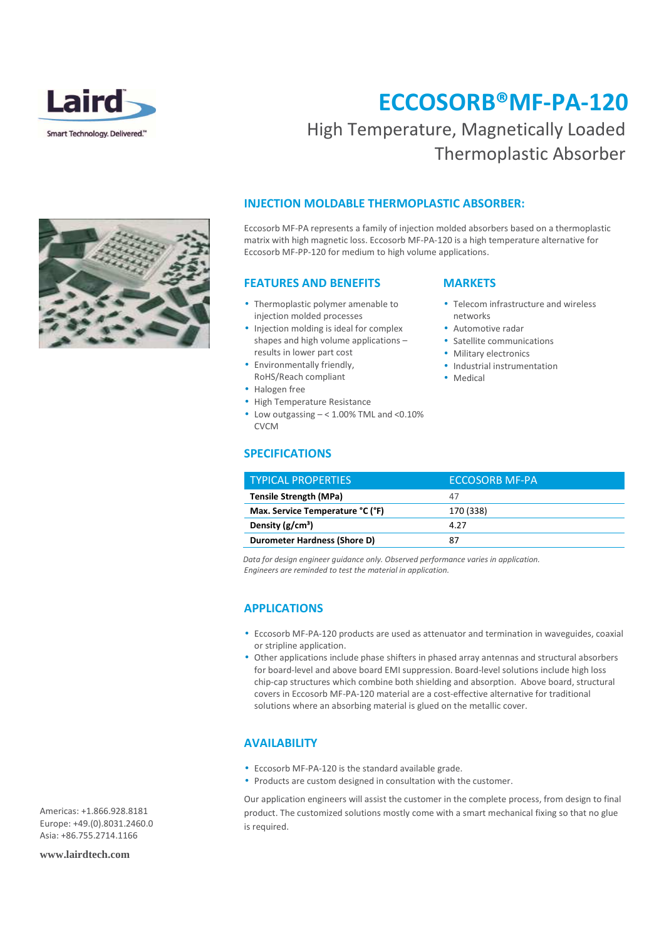

## **ECCOSORB®MF-PA-120**  High Temperature, Magnetically Loaded

Thermoplastic Absorber

### **INJECTION MOLDABLE THERMOPLASTIC ABSORBER:**

Eccosorb MF-PA represents a family of injection molded absorbers based on a thermoplastic matrix with high magnetic loss. Eccosorb MF-PA-120 is a high temperature alternative for Eccosorb MF-PP-120 for medium to high volume applications.

#### **FEATURES AND BENEFITS**

- Thermoplastic polymer amenable to injection molded processes
- Injection molding is ideal for complex shapes and high volume applications – results in lower part cost
- Environmentally friendly, RoHS/Reach compliant
- Halogen free
- High Temperature Resistance
- Low outgassing  $< 1.00\%$  TML and  $< 0.10\%$ CVCM

#### **SPECIFICATIONS**

#### **MARKETS**

- Telecom infrastructure and wireless networks
- Automotive radar
- Satellite communications
- Military electronics
- Industrial instrumentation
- Medical

| <b>TYPICAL PROPERTIES</b>        | ECCOSORB MF-PA |
|----------------------------------|----------------|
| <b>Tensile Strength (MPa)</b>    | 47             |
| Max. Service Temperature °C (°F) | 170 (338)      |
| Density $(g/cm^3)$               | 4.27           |
| Durometer Hardness (Shore D)     | 87             |

*Data for design engineer guidance only. Observed performance varies in application. Engineers are reminded to test the material in application.* 

### **APPLICATIONS**

- Eccosorb MF-PA-120 products are used as attenuator and termination in waveguides, coaxial or stripline application.
- Other applications include phase shifters in phased array antennas and structural absorbers for board-level and above board EMI suppression. Board-level solutions include high loss chip-cap structures which combine both shielding and absorption. Above board, structural covers in Eccosorb MF-PA-120 material are a cost-effective alternative for traditional solutions where an absorbing material is glued on the metallic cover.

#### **AVAILABILITY**

- Eccosorb MF-PA-120 is the standard available grade.
- Products are custom designed in consultation with the customer.

Our application engineers will assist the customer in the complete process, from design to final product. The customized solutions mostly come with a smart mechanical fixing so that no glue is required.

Americas: +1.866.928.8181 Europe: +49.(0).8031.2460.0 Asia: +86.755.2714.1166

**www.lairdtech.com**